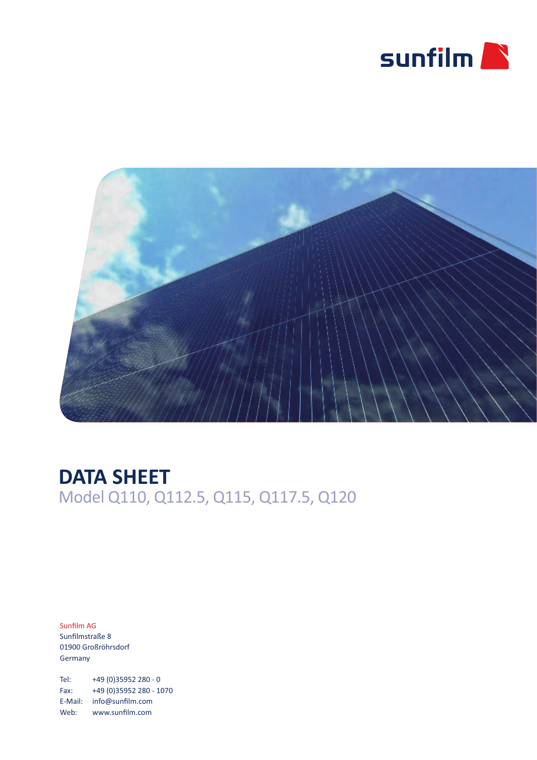



## **DATA SHEET** Model Q110, Q112.5, Q115, Q117.5, Q120

Sunfilm AG Sunfilmstraße 8 01900 Großröhrsdorf Germany

Tel: +49 (0)35952 280 - 0 Fax: +49 (0)35952 280 - 1070 E-Mail: info@sunfilm.com Web: www.sunfilm.com